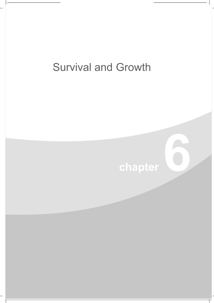# **Survival and Growth**

# chapter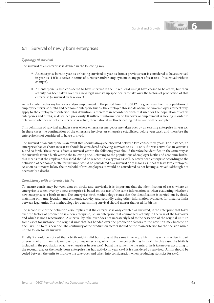

## 6.1 Survival of newly born enterprises

#### *Typology of survival*

The survival of an enterprise is defined in the following way:

- $\blacksquare$  An enterprise born in year xx or having survived to year xx from a previous year is considered to have survived in year xx+1 if it is active in terms of turnover and/or employment in any part of year xx+1 (= survival without changes).
- $\blacksquare$  An enterprise is also considered to have survived if the linked legal unit(s) have ceased to be active, but their activity has been taken over by a new legal unit set up specifically to take over the factors of production of that enterprise (= survival by take-over).

Activity is defined as any turnover and/or employment in the period from 1.1 to 31.12 in a given year. For the populations of employer enterprise births and economic enterprise births, the employee thresholds of one, or two employees respectively, apply to the employment criterion. This definition is therefore in accordance with that used for the population of active enterprises and births, as described previously. If sufficient information on turnover or employment is lacking in order to determine whether or not an enterprise is active, then national methods leading to this aim will be accepted.

This definition of survival excludes cases where enterprises merge, or are taken over by an existing enterprise in year xx. In these cases the continuation of the enterprise involves an enterprise established before year xx+1 and therefore the enterprise is not considered to have survived.

The survival of an enterprise is an event that should always be observed between two consecutive years. For instance, an enterprise that was born in year xx should be considered as having survived to  $xx + 2$  only if it was active also in year  $xx +$ 1, and so forth. The survivals from a survival year to the following year should therefore be identified in the same way as the survivals from a birth year to the following one. Referring to the populations of employer births and economic births, this means that the employee threshold should be reached in every year as well. A newly born enterprise according to the definition of economic birth, for instance, would be considered as a survival only as long as it has at least two employees. As soon as it moves below the threshold of two employees, it would be considered as not having survived (although not necessarily a death).

#### *Consistency with enterprise births*

To ensure consistency between data on births and survivals, it is important that the identification of cases where an enterprise is taken over by a new enterprise is based on the use of the same information as when evaluating whether a new enterprise is a birth or not. The enterprise birth methodology states that the identification is carried out by firstly matching on name, location and economic activity, and secondly using other information available, for instance links between legal units. The methodology for determining survival should mirror that used for births.

The second rule of the definition also implies that the enterprise is only counted as survived, if the enterprise that takes over the factors of production is a new enterprise, i.e. an enterprise that commences activity in the year of the take-over and which is not a reactivation. A survival by take-over does not necessarily lead to the cessation of the original unit. In some cases for instance, the original unit that has handed over the production factors to the new unit may become an ancillary unit to this new one. The continuity of the production factors should be the main criterion for the decision which unit to follow for its survival.

Finally it should be noticed that a birth might fulfil both rules at the same time, e.g. a birth in year xx is active in part of year xx+1 and then is taken over by a new enterprise, which commences activities in xx+1. In this case, the birth is included in the population of active enterprises in year xx+1, but at the same time the enterprise is taken over according to the second rule. As the newly born enterprise has had activity in year xx+1 it is considered as survived. A link should be coded between the units to indicate the take-over and taken into consideration when producing statistics for xx+2.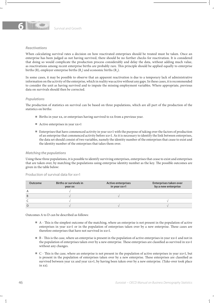

#### *Reactivations*

When calculating survival rates a decision on how reactivated enterprises should be treated must be taken. Once an enterprise has been judged as not having survived, there should be no further checks for reactivation. It is considered that doing so would complicate the production process considerably and delay the data, without adding much value, as reactivations among recent enterprise births are probably rare. This principle should be applied equally to enterprise births (R), employer enterprise births ( $R$ <sub>1</sub>) and economic births ( $R$ <sub>2</sub>).

In some cases, it may be possible to observe that an apparent reactivation is due to a temporary lack of administrative information on the activity of the enterprise, which in reality was active without any gaps. In these cases, it is recommended to consider the unit as having survived and to impute the missing employment variables. Where appropriate, previous data on survivals should then be corrected.

#### *Populations*

The production of statistics on survival can be based on three populations, which are all part of the production of the statistics on births:

- Births in year xx, or enterprises having survived to xx from a previous year.
- $\blacksquare$  Active enterprises in year xx+1
- Enterprises that have commenced activity in year xx+1 with the purpose of taking over the factors of production of an enterprise that commenced activity before xx+1. As it is necessary to identify the link between enterprises, the data set should consist of two variables, namely the identity number of the enterprises that cease to exist and the identity number of the enterprises that takes them over.

#### *Matching the populations*

Using these three populations, it is possible to identify surviving enterprises, enterprises that cease to exist and enterprises that are taken over, by matching the populations using enterprise identity number as the key. The possible outcomes are given in the table below:

| Outcome | Births or survivals in<br>year xx | <b>Active enterprises</b><br>in year xx+1 | Enterprises taken over<br>by a new enterprise |
|---------|-----------------------------------|-------------------------------------------|-----------------------------------------------|
|         |                                   |                                           |                                               |
| B       |                                   |                                           |                                               |
|         |                                   |                                           |                                               |
|         |                                   |                                           |                                               |

Production of survival data for xx+1

Outcomes A to D can be described as follows:

- $A -$  This is the simplest outcome of the matching, where an enterprise is not present in the population of active enterprises in year xx+1 or in the population of enterprises taken over by a new enterprise. These cases are therefore enterprises that have not survived in xx+1.
- B This is the case, where an enterprise is present in the population of active enterprises in year xx+1 and not in the population of enterprises taken over by a new enterprise. These enterprises are classified as survived in xx+1 without any changes.
- $\blacksquare$  C This is the case, where an enterprise is not present in the population of active enterprises in year xx+1, but is present in the population of enterprises taken over by a new enterprise. These enterprises are classified as survived between year xx and year xx+1, by having been taken over by a new enterprise. (Take-over took place in xx).